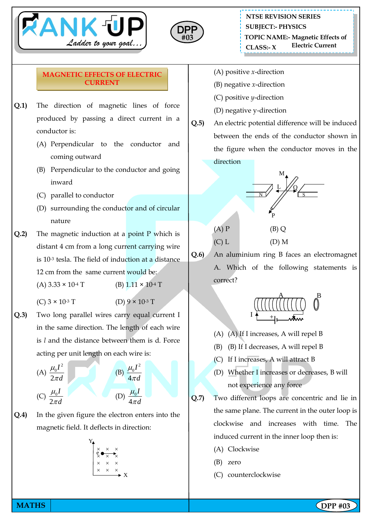



## **MAGNETIC EFFECTS OF ELECTRIC CURRENT**

- **Q.1)** The direction of magnetic lines of force produced by passing a direct current in a conductor is:
	- (A) Perpendicular to the conductor and coming outward
	- (B) Perpendicular to the conductor and going inward
	- (C) parallel to conductor
	- (D) surrounding the conductor and of circular nature
- **Q.2)** The magnetic induction at a point P which is distant 4 cm from a long current carrying wire is 10-3 tesla. The field of induction at a distance 12 cm from the same current would be:
	- (A)  $3.33 \times 10^{-4}$  T (B)  $1.11 \times 10^{-4}$  T
	- (C)  $3 \times 10^{-3}$  T (D)  $9 \times 10^{-3}$  T
- **Q.3)** Two long parallel wires carry equal current I in the same direction. The length of each wire is *l* and the distance between them is d. Force acting per unit length on each wire is:



**Q.4)** In the given figure the electron enters into the magnetic field. It deflects in direction:

$$
\begin{array}{c}\nY \\
\ast \\
\ast \\
\ast \\
\ast \\
\end{array}
$$

- (A) positive *x*-direction
- (B) negative *x*-direction
- (C) positive *y*-direction
- (D) negative y-direction
- **Q.5)** An electric potential difference will be induced between the ends of the conductor shown in the figure when the conductor moves in the direction



**Q.6)** An aluminium ring B faces an electromagnet A. Which of the following statements is correct?

$$
\begin{array}{c}\n\sqrt{\left(\frac{1}{\left(\frac{1}{\left(\frac{1}{\left(\frac{1}{\left(\frac{1}{\left(\frac{1}{\left(\frac{1}{\left(\frac{1}{\left(\frac{1}{\left(\frac{1}{\left(\frac{1}{\left(\frac{1}{\left(\frac{1}{\left(\frac{1}{\left(\frac{1}{\left(\frac{1}{\left(\frac{1}{\left(\frac{1}{\left(\frac{1}{\left(\frac{1}{\left(\frac{1}{\left(\frac{1}{\left(\frac{1}{\left(\frac{1}{\left(\frac{1}{\left(\frac{1}{\left(\frac{1}{\left(\frac{1}{\left(\frac{1}{\left(\frac{1}{\left(\frac{1}{\left(\frac{1}{\left(\frac{1}{\left(\frac{1}{\left(\frac{1}{\left(\frac{1}{\left(\frac{1}{\left(\frac{1}{\left(\frac{1}{\left(\frac{1}{\left(\frac{1}{\left(\frac{1}{\left(\frac{1}{\left(\frac{1}{\left(\frac{1}{\left(\frac{1}{\left(\frac{1}{\left(\frac{1}{\left(\frac{1}{\left(\frac{1}{\left(\frac{1}{\left(\frac{1}{\left(\frac{1}{\left(\frac{1}{\left(\frac{1}{\left(\frac{1}{\left(\frac{1}{\left(\frac{1}{\left(\frac{1}{\left(\frac{1}{\left(\frac{1}{\left(\frac{1}{\left(\frac{1}{\left(\frac{1}{\left(\frac{1}{\left(\frac{1}{\left(\frac{1}{\left(\frac{1}{\left(\frac{1}{\left(\frac{1}{\left(\frac{1}{\left(\frac{1}{1}\left(\frac{1}{\left(\frac{1}{\left(\frac{1}{\left(\frac{1}{\left(\frac{1}{\left(\frac{1}{\left(\frac{1}{\left(\frac{1}{\left(\frac{1}{1}\left(\frac{1}{\left(\frac{1}{\left(\frac{1}{\left(\frac{1}{\left(\frac{1}{1}\right)}{1}\right)}{1}}{1}}{1}}{1\right)\right)}{1}}{1}}{1}}{1}}{1}}{1}}{1}}{1}}{1}}{11}})}\\1}\right)}\\1-\frac{1}{1}\right)}{1}\right)}\right)}\right)}}{\left(\frac{\frac{1}{\left(\frac{1}{\left(\frac{1}{\left(\frac{1}{\left(\frac{1}{\left(\frac{1}{\left(\frac{1}{\left(\frac{1}{\left(\frac
$$

- (A) (A) If I increases, A will repel B
- (B) (B) If I decreases, A will repel B
- (C) If I increases, A will attract B
- (D) Whether I increases or decreases, B will not experience any force
- **Q.7)** Two different loops are concentric and lie in the same plane. The current in the outer loop is clockwise and increases with time. The induced current in the inner loop then is:
	- (A) Clockwise
	- (B) zero
	- (C) counterclockwise

**MATHS NATHS Example 2018**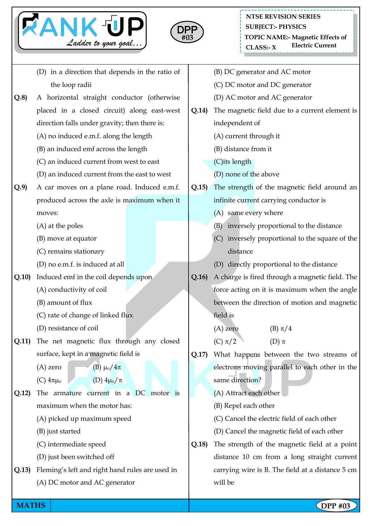



|       | (D) in a direction that depends in the ratio of |  |  | (B) DC generator and AC motor |                                                    |
|-------|-------------------------------------------------|--|--|-------------------------------|----------------------------------------------------|
|       | the loop radii                                  |  |  | (C) DC motor and DC generator |                                                    |
| Q.8   | A horizontal straight conductor (otherwise      |  |  |                               | (D) AC motor and AC generator                      |
|       | placed in a closed circuit) along east-west     |  |  |                               | The magnetic field due to a current element is     |
|       | direction falls under gravity; then there is:   |  |  |                               | independent of                                     |
|       | (A) no induced e.m.f. along the length          |  |  |                               | (A) current through it                             |
|       | (B) an induced emf across the length            |  |  |                               | (B) distance from it                               |
|       | (C) an induced current from west to east        |  |  |                               | (C)its length                                      |
|       | (D) an induced current from the east to west    |  |  |                               | (D) none of the above                              |
| Q.9   | A car moves on a plane road. Induced e.m.f.     |  |  | Q.15                          | The strength of the magnetic field around an       |
|       | produced across the axle is maximum when it     |  |  |                               | infinite current carrying conductor is             |
|       | moves:                                          |  |  |                               | (A) same every where                               |
|       | (A) at the poles                                |  |  |                               | (B) inversely proportional to the distance         |
|       | (B) move at equator                             |  |  |                               | inversely proportional to the square of the<br>(C) |
|       | (C) remains stationary                          |  |  |                               | distance                                           |
|       | (D) no e.m.f. is induced at all                 |  |  |                               | directly proportional to the distance<br>(D)       |
| Q.10  | Induced emf in the coil depends upon            |  |  | Q.16                          | A charge is fired through a magnetic field. The    |
|       | (A) conductivity of coil                        |  |  |                               | force acting on it is maximum when the angle       |
|       | (B) amount of flux                              |  |  |                               | between the direction of motion and magnetic       |
|       | (C) rate of change of linked flux               |  |  |                               | field is                                           |
|       | (D) resistance of coil                          |  |  |                               | $(A)$ zero<br>(B) $\pi/4$                          |
|       | Q.11) The net magnetic flux through any closed  |  |  |                               | (C) $\pi/2$<br>(D) $\pi$                           |
|       | surface, kept in a magnetic field is            |  |  | Q.17)                         | What happens between the two streams of            |
|       | (B) $\mu_0/4\pi$<br>$(A)$ zero                  |  |  |                               | electrons moving parallel to each other in the     |
|       | (D) $4\mu_o/\pi$<br>(C) $4\pi\mu_o$             |  |  |                               | same direction?                                    |
| Q.12) | The armature current in a DC motor is           |  |  |                               | (A) Attract each other                             |
|       | maximum when the motor has:                     |  |  |                               | (B) Repel each other                               |
|       | (A) picked up maximum speed                     |  |  |                               | (C) Cancel the electric field of each other        |
|       | (B) just started                                |  |  |                               | (D) Cancel the magnetic field of each other        |
|       | (C) intermediate speed                          |  |  | Q.18)                         | The strength of the magnetic field at a point      |
|       | (D) just been switched off                      |  |  |                               | distance 10 cm from a long straight current        |
| Q.13) | Fleming's left and right hand rules are used in |  |  |                               | carrying wire is B. The field at a distance 5 cm   |
|       | (A) DC motor and AC generator                   |  |  |                               | will be                                            |
|       |                                                 |  |  |                               |                                                    |

**MATHS NATHS Example 2018**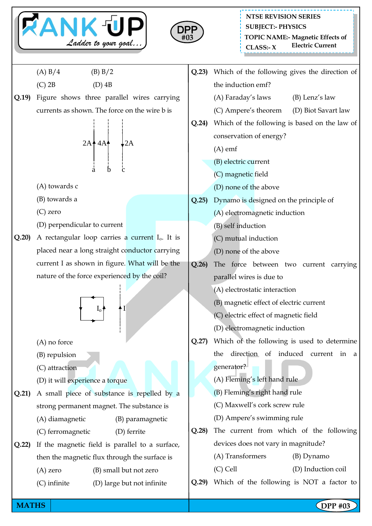



**MATHS NATHS Example 2018**  $(A) B/4$  (B) B/2  $(C)$  2B  $(D)$  4B **Q.19)** Figure shows three parallel wires carrying currents as shown. The force on the wire b is  $2A$ <sup>4</sup>  $4A$ <sup>4</sup>  $\downarrow$ 2A a b c (A) towards c (B) towards a (C) zero (D) perpendicular to current  $Q.20$ ) A rectangular loop carries a current  $I<sub>o</sub>$ . It is placed near a long straight conductor carrying current I as shown in figure. What will be the nature of the force experienced by the coil?  $I_0$   $\uparrow$   $\uparrow$  I (A) no force (B) repulsion (C) attraction (D) it will experience a torque **Q.21)** A small piece of substance is repelled by a strong permanent magnet. The substance is (A) diamagnetic (B) paramagnetic (C) ferromagnetic (D) ferrite **Q.22)** If the magnetic field is parallel to a surface, then the magnetic flux through the surface is (A) zero (B) small but not zero (C) infinite (D) large but not infinite **Q.23)** Which of the following gives the direction of the induction emf? (A) Faraday's laws (B) Lenz's law (C) Ampere's theorem (D) Biot Savart law **Q.24)** Which of the following is based on the law of conservation of energy? (A) emf (B) electric current (C) magnetic field (D) none of the above **Q.25)** Dynamo is designed on the principle of (A) electromagnetic induction (B) self induction (C) mutual induction (D) none of the above **Q.26)** The force between two current carrying parallel wires is due to (A) electrostatic interaction (B) magnetic effect of electric current (C) electric effect of magnetic field (D) electromagnetic induction **Q.27)** Which of the following is used to determine the direction of induced current in a generator? (A) Fleming's left hand rule (B) Fleming's right hand rule (C) Maxwell's cork screw rule (D) Ampere's swimming rule **Q.28)** The current from which of the following devices does not vary in magnitude? (A) Transformers (B) Dynamo (C) Cell (D) Induction coil **Q.29)** Which of the following is NOT a factor to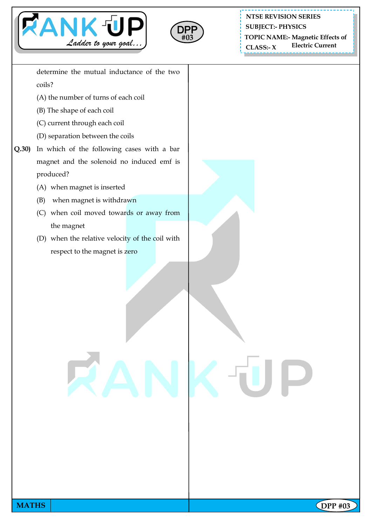



**NTSE REVISION SERIES SUBJECT:- PHYSICS**

**TOPIC NAME:- Magnetic Effects of Electric Current** 

 $CLASS:~X$ 

determine the mutual inductance of the two coils?

- (A) the number of turns of each coil
- (B) The shape of each coil
- (C) current through each coil
- (D) separation between the coils
- **Q.30)** In which of the following cases with a bar magnet and the solenoid no induced emf is produced?
	- (A) when magnet is inserted
	- (B) when magnet is withdrawn
	- (C) when coil moved towards or away from the magnet
	- (D) when the relative velocity of the coil with respect to the magnet is zero